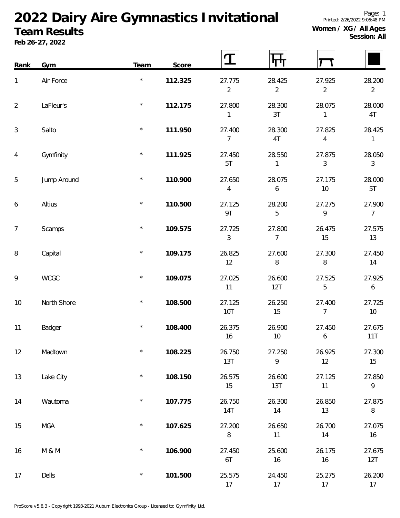## **2022 Dairy Aire Gymnastics Invitational**

## **Team Results**

**Feb 26-27, 2022**

**Session: All**

| Rank           | Gym         | Team    | Score   |                          |                          |                          |                            |
|----------------|-------------|---------|---------|--------------------------|--------------------------|--------------------------|----------------------------|
| $\mathbf{1}$   | Air Force   | $\star$ | 112.325 | 27.775<br>$\overline{2}$ | 28.425<br>$\overline{2}$ | 27.925<br>$\overline{2}$ | 28.200<br>$\overline{2}$   |
| $\overline{2}$ | LaFleur's   | $\star$ | 112.175 | 27.800<br>1              | 28.300<br>3T             | 28.075<br>1              | 28.000<br>4T               |
| 3              | Salto       | $\star$ | 111.950 | 27.400<br>$\overline{7}$ | 28.300<br>4T             | 27.825<br>$\overline{4}$ | 28.425<br>1                |
| $\overline{4}$ | Gymfinity   | $\star$ | 111.925 | 27.450<br>5T             | 28.550<br>$\mathbf{1}$   | 27.875<br>$\mathfrak{Z}$ | 28.050<br>$\mathfrak{Z}$   |
| 5              | Jump Around | $\star$ | 110.900 | 27.650<br>4              | 28.075<br>6              | 27.175<br>10             | 28.000<br>5T               |
| 6              | Altius      | $\star$ | 110.500 | 27.125<br>9T             | 28.200<br>5              | 27.275<br>9              | 27.900<br>$\overline{7}$   |
| $\overline{7}$ | Scamps      | $\star$ | 109.575 | 27.725<br>3              | 27.800<br>$\overline{7}$ | 26.475<br>15             | 27.575<br>13               |
| 8              | Capital     | $\star$ | 109.175 | 26.825<br>12             | 27.600<br>8              | 27.300<br>$\, 8$         | 27.450<br>14               |
| 9              | <b>WCGC</b> | $\star$ | 109.075 | 27.025<br>11             | 26.600<br>12T            | 27.525<br>5              | 27.925<br>$\boldsymbol{6}$ |
| 10             | North Shore | $\star$ | 108.500 | 27.125<br>10T            | 26.250<br>15             | 27.400<br>$\overline{7}$ | 27.725<br>10               |
| 11             | Badger      | $\star$ | 108.400 | 26.375<br>16             | 26.900<br>$10$           | 27.450<br>6              | 27.675<br>11T              |
| 12             | Madtown     | $\star$ | 108.225 | 26.750<br>13T            | 27.250<br>9              | 26.925<br>12             | 27.300<br>15               |
| 13             | Lake City   | $\star$ | 108.150 | 26.575<br>15             | 26.600<br>13T            | 27.125<br>11             | 27.850<br>9                |
| 14             | Wautoma     | $\star$ | 107.775 | 26.750<br><b>14T</b>     | 26.300<br>14             | 26.850<br>13             | 27.875<br>$\, 8$           |
| 15             | <b>MGA</b>  | $\star$ | 107.625 | 27.200<br>$\, 8$         | 26.650<br>11             | 26.700<br>14             | 27.075<br>16               |
| 16             | M & M       | $\star$ | 106.900 | 27.450<br>6T             | 25.600<br>16             | 26.175<br>16             | 27.675<br>12T              |
| 17             | Dells       | $\star$ | 101.500 | 25.575<br>17             | 24.450<br>17             | 25.275<br>17             | 26.200<br>17               |